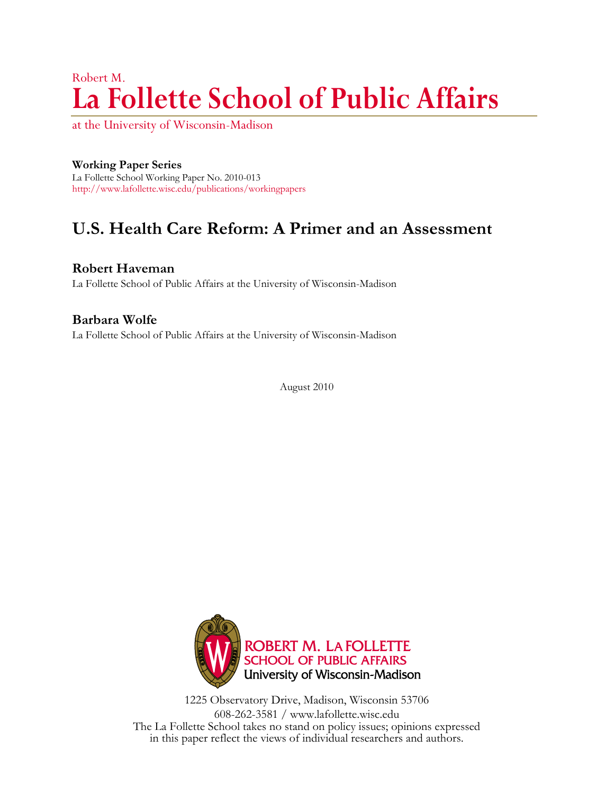# Robert M. **La Follette School of Public Affairs**

at the University of Wisconsin-Madison

### **Working Paper Series**

La Follette School Working Paper No. 2010-013 <http://www.lafollette.wisc.edu/publications/workingpapers>

## **U.S. Health Care Reform: A Primer and an Assessment**

**Robert Haveman** La Follette School of Public Affairs at the University of Wisconsin-Madison

## **Barbara Wolfe** La Follette School of Public Affairs at the University of Wisconsin-Madison

August 2010



1225 Observatory Drive, Madison, Wisconsin 53706 608-262-3581 / www.lafollette.wisc.edu The La Follette School takes no stand on policy issues; opinions expressed in this paper reflect the views of individual researchers and authors.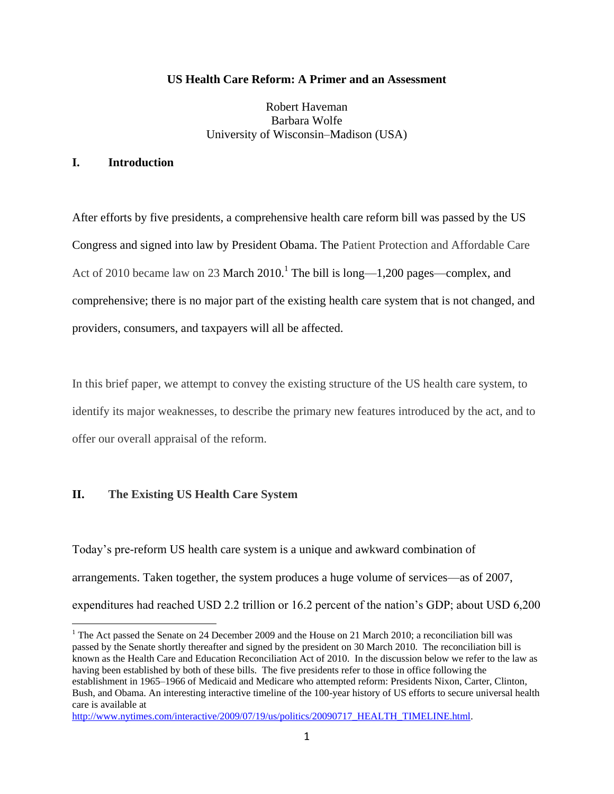#### **US Health Care Reform: A Primer and an Assessment**

Robert Haveman Barbara Wolfe University of Wisconsin–Madison (USA)

#### **I. Introduction**

After efforts by five presidents, a comprehensive health care reform bill was passed by the US Congress and signed into law by President Obama. The Patient Protection and Affordable Care Act of 2010 became law on 23 March  $2010<sup>1</sup>$ . The bill is long—1,200 pages—complex, and comprehensive; there is no major part of the existing health care system that is not changed, and providers, consumers, and taxpayers will all be affected.

In this brief paper, we attempt to convey the existing structure of the US health care system, to identify its major weaknesses, to describe the primary new features introduced by the act, and to offer our overall appraisal of the reform.

#### **II. The Existing US Health Care System**

 $\overline{a}$ 

Today's pre-reform US health care system is a unique and awkward combination of arrangements. Taken together, the system produces a huge volume of services—as of 2007, expenditures had reached USD 2.2 trillion or 16.2 percent of the nation's GDP; about USD 6,200

<sup>&</sup>lt;sup>1</sup> The Act passed the Senate on 24 December 2009 and the House on 21 March 2010; a reconciliation bill was passed by the Senate shortly thereafter and signed by the president on 30 March 2010. The reconciliation bill is known as the Health Care and Education Reconciliation Act of 2010. In the discussion below we refer to the law as having been established by both of these bills. The five presidents refer to those in office following the establishment in 1965–1966 of Medicaid and Medicare who attempted reform: Presidents Nixon, Carter, Clinton, Bush, and Obama. An interesting interactive timeline of the 100-year history of US efforts to secure universal health care is available at

[http://www.nytimes.com/interactive/2009/07/19/us/politics/20090717\\_HEALTH\\_TIMELINE.html.](http://www.nytimes.com/interactive/2009/07/19/us/politics/20090717_HEALTH_TIMELINE.html)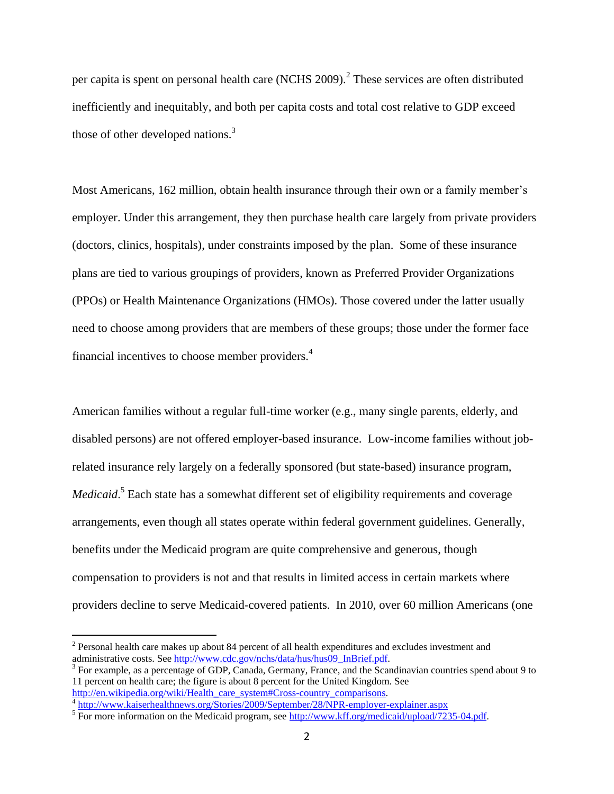per capita is spent on personal health care (NCHS 2009).<sup>2</sup> These services are often distributed inefficiently and inequitably, and both per capita costs and total cost relative to GDP exceed those of other developed nations.<sup>3</sup>

Most Americans, 162 million, obtain health insurance through their own or a family member's employer. Under this arrangement, they then purchase health care largely from private providers (doctors, clinics, hospitals), under constraints imposed by the plan. Some of these insurance plans are tied to various groupings of providers, known as Preferred Provider Organizations (PPOs) or Health Maintenance Organizations (HMOs). Those covered under the latter usually need to choose among providers that are members of these groups; those under the former face financial incentives to choose member providers.<sup>4</sup>

American families without a regular full-time worker (e.g., many single parents, elderly, and disabled persons) are not offered employer-based insurance. Low-income families without jobrelated insurance rely largely on a federally sponsored (but state-based) insurance program, Medicaid.<sup>5</sup> Each state has a somewhat different set of eligibility requirements and coverage arrangements, even though all states operate within federal government guidelines. Generally, benefits under the Medicaid program are quite comprehensive and generous, though compensation to providers is not and that results in limited access in certain markets where providers decline to serve Medicaid-covered patients. In 2010, over 60 million Americans (one

 $2$  Personal health care makes up about 84 percent of all health expenditures and excludes investment and administrative costs. Se[e http://www.cdc.gov/nchs/data/hus/hus09\\_InBrief.pdf.](http://www.cdc.gov/nchs/data/hus/hus09_InBrief.pdf)

 $3$  For example, as a percentage of GDP, Canada, Germany, France, and the Scandinavian countries spend about 9 to 11 percent on health care; the figure is about 8 percent for the United Kingdom. See [http://en.wikipedia.org/wiki/Health\\_care\\_system#Cross-country\\_comparisons.](http://en.wikipedia.org/wiki/Health_care_system#Cross-country_comparisons)

<sup>&</sup>lt;sup>4</sup> <http://www.kaiserhealthnews.org/Stories/2009/September/28/NPR-employer-explainer.aspx><br><sup>5</sup> For more information on the Medicaid program, see [http://www.kff.org/medicaid/upload/7235-04.pdf.](http://www.kff.org/medicaid/upload/7235-04.pdf)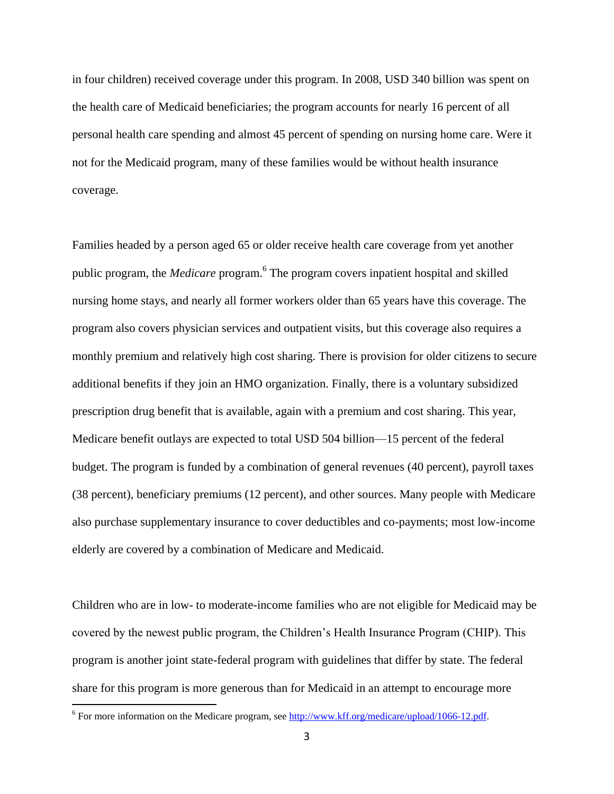in four children) received coverage under this program. In 2008, USD 340 billion was spent on the health care of Medicaid beneficiaries; the program accounts for nearly 16 percent of all personal health care spending and almost 45 percent of spending on nursing home care. Were it not for the Medicaid program, many of these families would be without health insurance coverage.

Families headed by a person aged 65 or older receive health care coverage from yet another public program, the *Medicare* program.<sup>6</sup> The program covers inpatient hospital and skilled nursing home stays, and nearly all former workers older than 65 years have this coverage. The program also covers physician services and outpatient visits, but this coverage also requires a monthly premium and relatively high cost sharing. There is provision for older citizens to secure additional benefits if they join an HMO organization. Finally, there is a voluntary subsidized prescription drug benefit that is available, again with a premium and cost sharing. This year, Medicare benefit outlays are expected to total USD 504 billion—15 percent of the federal budget. The program is funded by a combination of general revenues (40 percent), payroll taxes (38 percent), beneficiary premiums (12 percent), and other sources. Many people with Medicare also purchase supplementary insurance to cover deductibles and co-payments; most low-income elderly are covered by a combination of Medicare and Medicaid.

Children who are in low- to moderate-income families who are not eligible for Medicaid may be covered by the newest public program, the Children's Health Insurance Program (CHIP). This program is another joint state-federal program with guidelines that differ by state. The federal share for this program is more generous than for Medicaid in an attempt to encourage more

<sup>&</sup>lt;sup>6</sup> For more information on the Medicare program, see  $\frac{http://www.kff.org/medicare/upload/1066-12.pdf}{http://www.kff.org/medicare/upload/1066-12.pdf}.$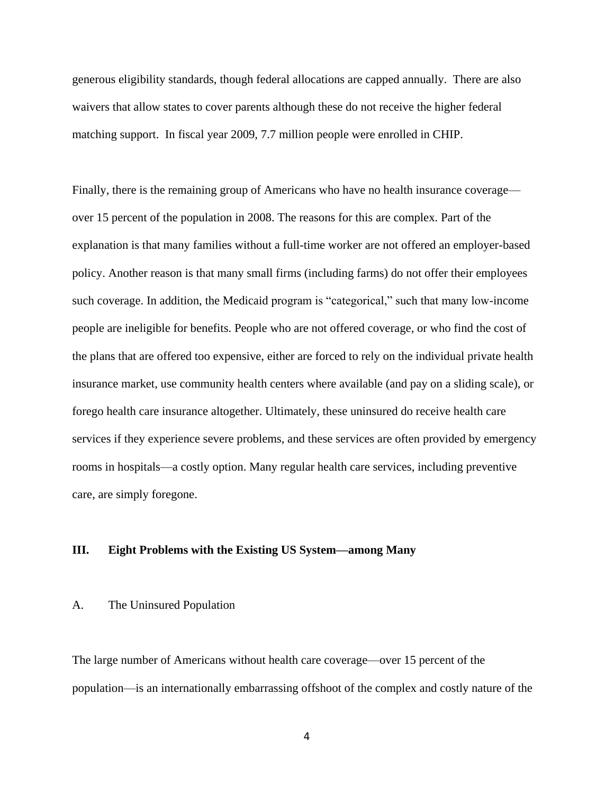generous eligibility standards, though federal allocations are capped annually. There are also waivers that allow states to cover parents although these do not receive the higher federal matching support. In fiscal year 2009, 7.7 million people were enrolled in CHIP.

Finally, there is the remaining group of Americans who have no health insurance coverage over 15 percent of the population in 2008. The reasons for this are complex. Part of the explanation is that many families without a full-time worker are not offered an employer-based policy. Another reason is that many small firms (including farms) do not offer their employees such coverage. In addition, the Medicaid program is "categorical," such that many low-income people are ineligible for benefits. People who are not offered coverage, or who find the cost of the plans that are offered too expensive, either are forced to rely on the individual private health insurance market, use community health centers where available (and pay on a sliding scale), or forego health care insurance altogether. Ultimately, these uninsured do receive health care services if they experience severe problems, and these services are often provided by emergency rooms in hospitals—a costly option. Many regular health care services, including preventive care, are simply foregone.

#### **III. Eight Problems with the Existing US System—among Many**

#### A. The Uninsured Population

The large number of Americans without health care coverage—over 15 percent of the population—is an internationally embarrassing offshoot of the complex and costly nature of the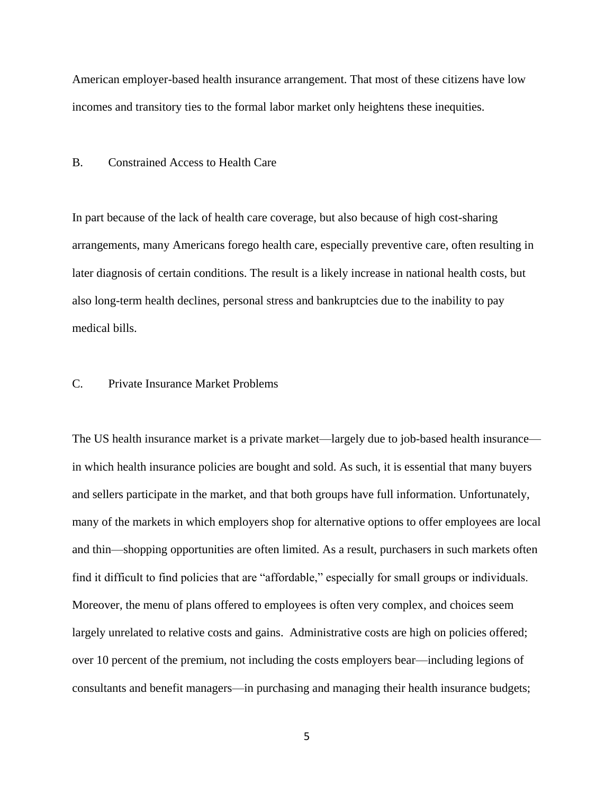American employer-based health insurance arrangement. That most of these citizens have low incomes and transitory ties to the formal labor market only heightens these inequities.

B. Constrained Access to Health Care

In part because of the lack of health care coverage, but also because of high cost-sharing arrangements, many Americans forego health care, especially preventive care, often resulting in later diagnosis of certain conditions. The result is a likely increase in national health costs, but also long-term health declines, personal stress and bankruptcies due to the inability to pay medical bills.

#### C. Private Insurance Market Problems

The US health insurance market is a private market—largely due to job-based health insurance in which health insurance policies are bought and sold. As such, it is essential that many buyers and sellers participate in the market, and that both groups have full information. Unfortunately, many of the markets in which employers shop for alternative options to offer employees are local and thin—shopping opportunities are often limited. As a result, purchasers in such markets often find it difficult to find policies that are "affordable," especially for small groups or individuals. Moreover, the menu of plans offered to employees is often very complex, and choices seem largely unrelated to relative costs and gains. Administrative costs are high on policies offered; over 10 percent of the premium, not including the costs employers bear—including legions of consultants and benefit managers—in purchasing and managing their health insurance budgets;

5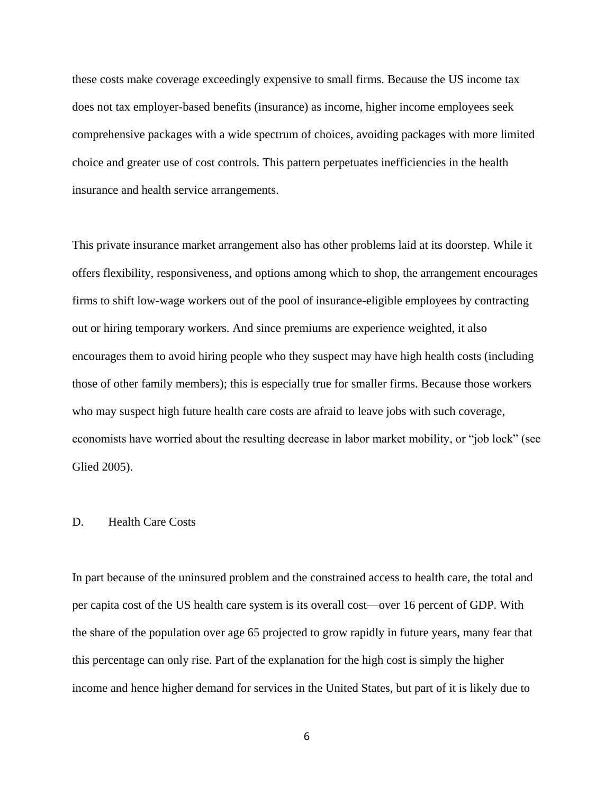these costs make coverage exceedingly expensive to small firms. Because the US income tax does not tax employer-based benefits (insurance) as income, higher income employees seek comprehensive packages with a wide spectrum of choices, avoiding packages with more limited choice and greater use of cost controls. This pattern perpetuates inefficiencies in the health insurance and health service arrangements.

This private insurance market arrangement also has other problems laid at its doorstep. While it offers flexibility, responsiveness, and options among which to shop, the arrangement encourages firms to shift low-wage workers out of the pool of insurance-eligible employees by contracting out or hiring temporary workers. And since premiums are experience weighted, it also encourages them to avoid hiring people who they suspect may have high health costs (including those of other family members); this is especially true for smaller firms. Because those workers who may suspect high future health care costs are afraid to leave jobs with such coverage, economists have worried about the resulting decrease in labor market mobility, or "job lock" (see Glied 2005).

#### D. Health Care Costs

In part because of the uninsured problem and the constrained access to health care, the total and per capita cost of the US health care system is its overall cost—over 16 percent of GDP. With the share of the population over age 65 projected to grow rapidly in future years, many fear that this percentage can only rise. Part of the explanation for the high cost is simply the higher income and hence higher demand for services in the United States, but part of it is likely due to

6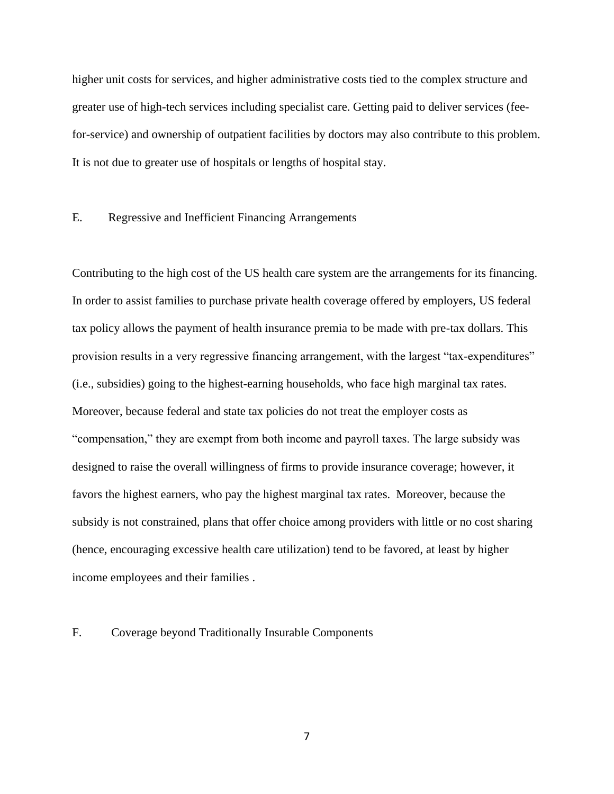higher unit costs for services, and higher administrative costs tied to the complex structure and greater use of high-tech services including specialist care. Getting paid to deliver services (feefor-service) and ownership of outpatient facilities by doctors may also contribute to this problem. It is not due to greater use of hospitals or lengths of hospital stay.

#### E. Regressive and Inefficient Financing Arrangements

Contributing to the high cost of the US health care system are the arrangements for its financing. In order to assist families to purchase private health coverage offered by employers, US federal tax policy allows the payment of health insurance premia to be made with pre-tax dollars. This provision results in a very regressive financing arrangement, with the largest "tax-expenditures" (i.e., subsidies) going to the highest-earning households, who face high marginal tax rates. Moreover, because federal and state tax policies do not treat the employer costs as ―compensation,‖ they are exempt from both income and payroll taxes. The large subsidy was designed to raise the overall willingness of firms to provide insurance coverage; however, it favors the highest earners, who pay the highest marginal tax rates. Moreover, because the subsidy is not constrained, plans that offer choice among providers with little or no cost sharing (hence, encouraging excessive health care utilization) tend to be favored, at least by higher income employees and their families .

#### F. Coverage beyond Traditionally Insurable Components

7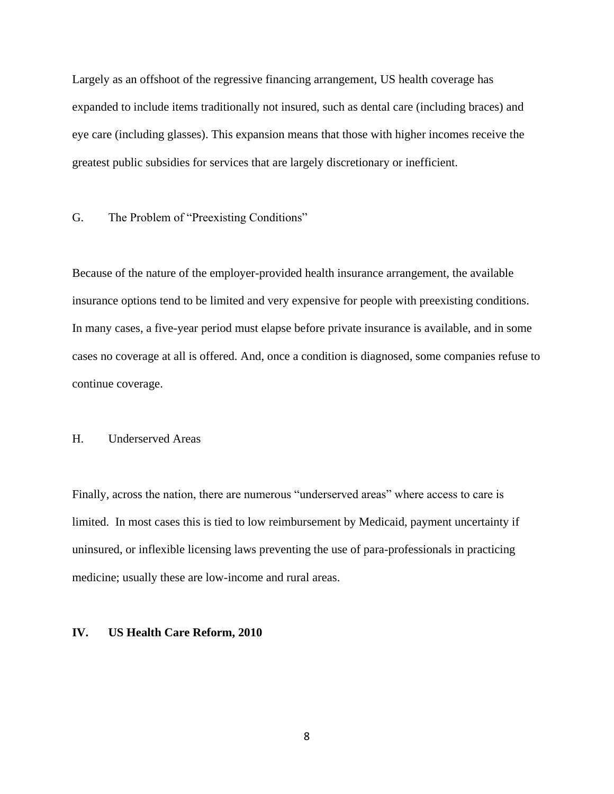Largely as an offshoot of the regressive financing arrangement, US health coverage has expanded to include items traditionally not insured, such as dental care (including braces) and eye care (including glasses). This expansion means that those with higher incomes receive the greatest public subsidies for services that are largely discretionary or inefficient.

G. The Problem of "Preexisting Conditions"

Because of the nature of the employer-provided health insurance arrangement, the available insurance options tend to be limited and very expensive for people with preexisting conditions. In many cases, a five-year period must elapse before private insurance is available, and in some cases no coverage at all is offered. And, once a condition is diagnosed, some companies refuse to continue coverage.

#### H. Underserved Areas

Finally, across the nation, there are numerous "underserved areas" where access to care is limited. In most cases this is tied to low reimbursement by Medicaid, payment uncertainty if uninsured, or inflexible licensing laws preventing the use of para-professionals in practicing medicine; usually these are low-income and rural areas.

#### **IV. US Health Care Reform, 2010**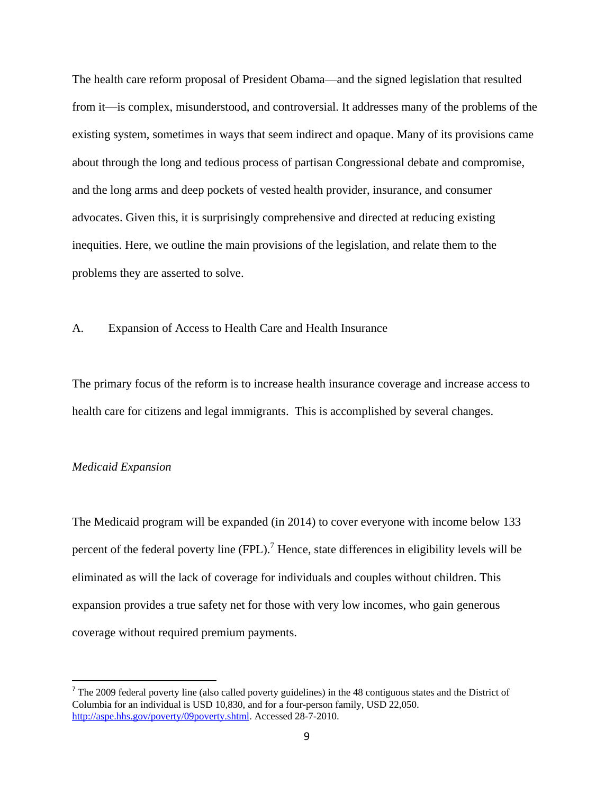The health care reform proposal of President Obama—and the signed legislation that resulted from it—is complex, misunderstood, and controversial. It addresses many of the problems of the existing system, sometimes in ways that seem indirect and opaque. Many of its provisions came about through the long and tedious process of partisan Congressional debate and compromise, and the long arms and deep pockets of vested health provider, insurance, and consumer advocates. Given this, it is surprisingly comprehensive and directed at reducing existing inequities. Here, we outline the main provisions of the legislation, and relate them to the problems they are asserted to solve.

#### A. Expansion of Access to Health Care and Health Insurance

The primary focus of the reform is to increase health insurance coverage and increase access to health care for citizens and legal immigrants. This is accomplished by several changes.

#### *Medicaid Expansion*

 $\overline{a}$ 

The Medicaid program will be expanded (in 2014) to cover everyone with income below 133 percent of the federal poverty line  $(FPL)$ .<sup>7</sup> Hence, state differences in eligibility levels will be eliminated as will the lack of coverage for individuals and couples without children. This expansion provides a true safety net for those with very low incomes, who gain generous coverage without required premium payments.

 $<sup>7</sup>$  The 2009 federal poverty line (also called poverty guidelines) in the 48 contiguous states and the District of</sup> Columbia for an individual is USD 10,830, and for a four-person family, USD 22,050. [http://aspe.hhs.gov/poverty/09poverty.shtml.](http://aspe.hhs.gov/poverty/09poverty.shtml) Accessed 28-7-2010.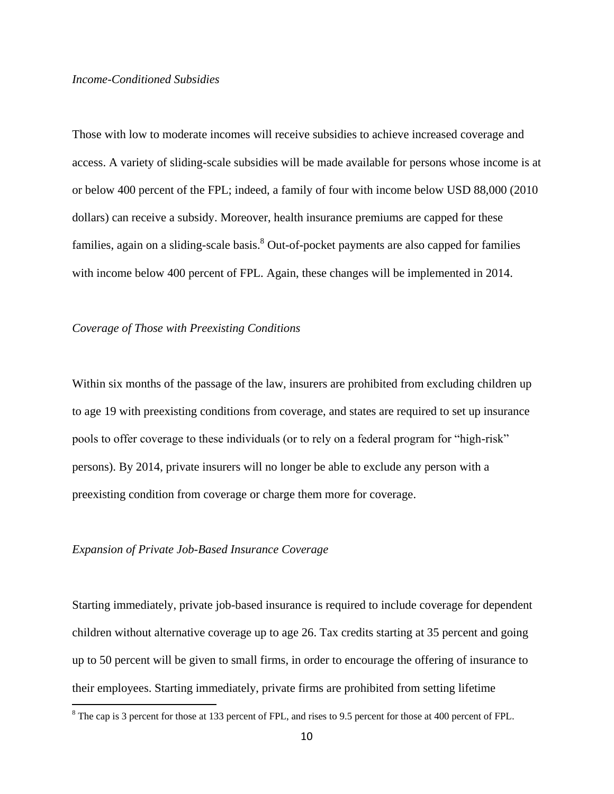#### *Income-Conditioned Subsidies*

Those with low to moderate incomes will receive subsidies to achieve increased coverage and access. A variety of sliding-scale subsidies will be made available for persons whose income is at or below 400 percent of the FPL; indeed, a family of four with income below USD 88,000 (2010 dollars) can receive a subsidy. Moreover, health insurance premiums are capped for these families, again on a sliding-scale basis.<sup>8</sup> Out-of-pocket payments are also capped for families with income below 400 percent of FPL. Again, these changes will be implemented in 2014.

#### *Coverage of Those with Preexisting Conditions*

Within six months of the passage of the law, insurers are prohibited from excluding children up to age 19 with preexisting conditions from coverage, and states are required to set up insurance pools to offer coverage to these individuals (or to rely on a federal program for "high-risk" persons). By 2014, private insurers will no longer be able to exclude any person with a preexisting condition from coverage or charge them more for coverage.

#### *Expansion of Private Job-Based Insurance Coverage*

 $\overline{a}$ 

Starting immediately, private job-based insurance is required to include coverage for dependent children without alternative coverage up to age 26. Tax credits starting at 35 percent and going up to 50 percent will be given to small firms, in order to encourage the offering of insurance to their employees. Starting immediately, private firms are prohibited from setting lifetime

 $8$  The cap is 3 percent for those at 133 percent of FPL, and rises to 9.5 percent for those at 400 percent of FPL.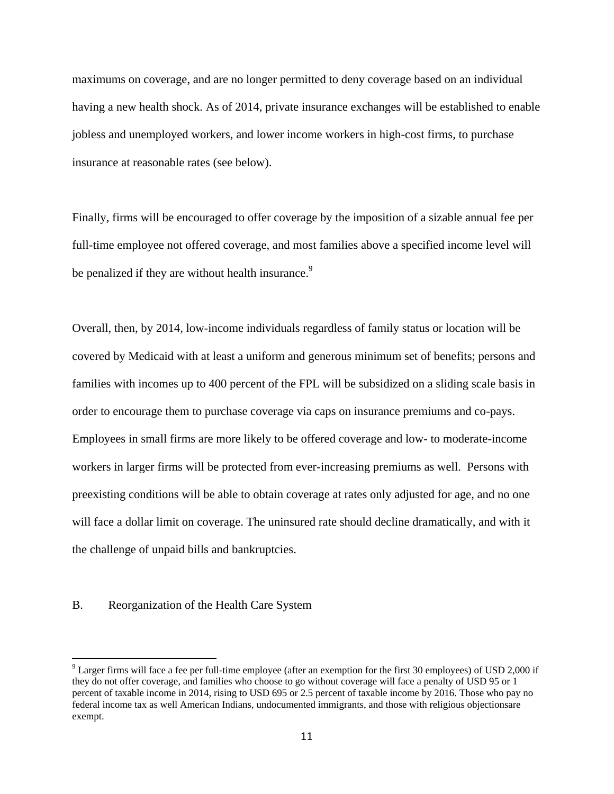maximums on coverage, and are no longer permitted to deny coverage based on an individual having a new health shock. As of 2014, private insurance exchanges will be established to enable jobless and unemployed workers, and lower income workers in high-cost firms, to purchase insurance at reasonable rates (see below).

Finally, firms will be encouraged to offer coverage by the imposition of a sizable annual fee per full-time employee not offered coverage, and most families above a specified income level will be penalized if they are without health insurance.<sup>9</sup>

Overall, then, by 2014, low-income individuals regardless of family status or location will be covered by Medicaid with at least a uniform and generous minimum set of benefits; persons and families with incomes up to 400 percent of the FPL will be subsidized on a sliding scale basis in order to encourage them to purchase coverage via caps on insurance premiums and co-pays. Employees in small firms are more likely to be offered coverage and low- to moderate-income workers in larger firms will be protected from ever-increasing premiums as well. Persons with preexisting conditions will be able to obtain coverage at rates only adjusted for age, and no one will face a dollar limit on coverage. The uninsured rate should decline dramatically, and with it the challenge of unpaid bills and bankruptcies.

#### B. Reorganization of the Health Care System

<sup>9</sup> Larger firms will face a fee per full-time employee (after an exemption for the first 30 employees) of USD 2,000 if they do not offer coverage, and families who choose to go without coverage will face a penalty of USD 95 or 1 percent of taxable income in 2014, rising to USD 695 or 2.5 percent of taxable income by 2016. Those who pay no federal income tax as well American Indians, undocumented immigrants, and those with religious objectionsare exempt.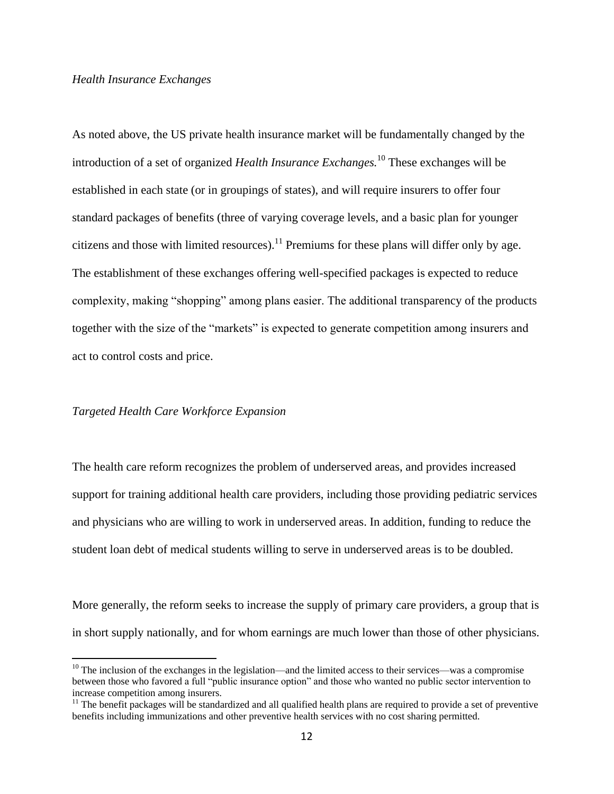#### *Health Insurance Exchanges*

As noted above, the US private health insurance market will be fundamentally changed by the introduction of a set of organized *Health Insurance Exchanges.*<sup>10</sup> These exchanges will be established in each state (or in groupings of states), and will require insurers to offer four standard packages of benefits (three of varying coverage levels, and a basic plan for younger citizens and those with limited resources).<sup>11</sup> Premiums for these plans will differ only by age. The establishment of these exchanges offering well-specified packages is expected to reduce complexity, making "shopping" among plans easier. The additional transparency of the products together with the size of the "markets" is expected to generate competition among insurers and act to control costs and price.

#### *Targeted Health Care Workforce Expansion*

 $\overline{a}$ 

The health care reform recognizes the problem of underserved areas, and provides increased support for training additional health care providers, including those providing pediatric services and physicians who are willing to work in underserved areas. In addition, funding to reduce the student loan debt of medical students willing to serve in underserved areas is to be doubled.

More generally, the reform seeks to increase the supply of primary care providers, a group that is in short supply nationally, and for whom earnings are much lower than those of other physicians.

 $10$  The inclusion of the exchanges in the legislation—and the limited access to their services—was a compromise between those who favored a full "public insurance option" and those who wanted no public sector intervention to increase competition among insurers.

 $11$  The benefit packages will be standardized and all qualified health plans are required to provide a set of preventive benefits including immunizations and other preventive health services with no cost sharing permitted.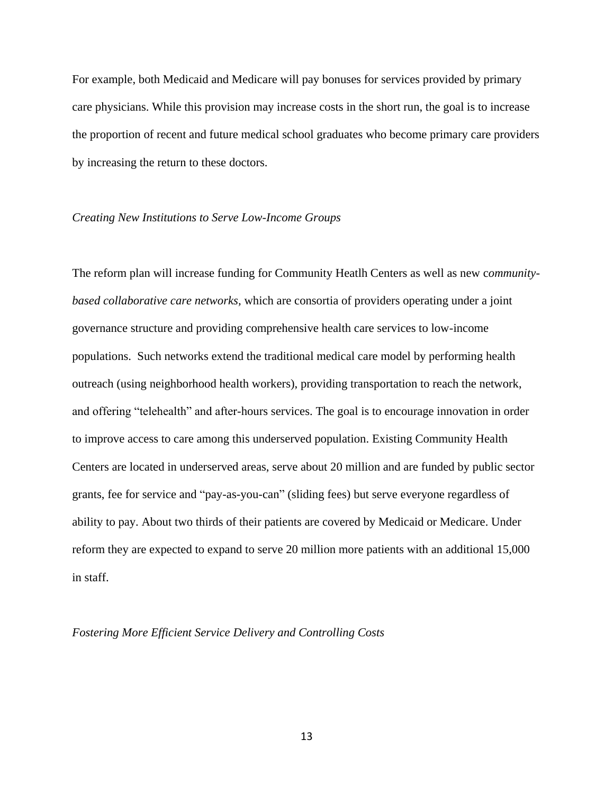For example, both Medicaid and Medicare will pay bonuses for services provided by primary care physicians. While this provision may increase costs in the short run, the goal is to increase the proportion of recent and future medical school graduates who become primary care providers by increasing the return to these doctors.

#### *Creating New Institutions to Serve Low-Income Groups*

The reform plan will increase funding for Community Heatlh Centers as well as new c*ommunitybased collaborative care networks,* which are consortia of providers operating under a joint governance structure and providing comprehensive health care services to low-income populations. Such networks extend the traditional medical care model by performing health outreach (using neighborhood health workers), providing transportation to reach the network, and offering "telehealth" and after-hours services. The goal is to encourage innovation in order to improve access to care among this underserved population. Existing Community Health Centers are located in underserved areas, serve about 20 million and are funded by public sector grants, fee for service and "pay-as-you-can" (sliding fees) but serve everyone regardless of ability to pay. About two thirds of their patients are covered by Medicaid or Medicare. Under reform they are expected to expand to serve 20 million more patients with an additional 15,000 in staff.

#### *Fostering More Efficient Service Delivery and Controlling Costs*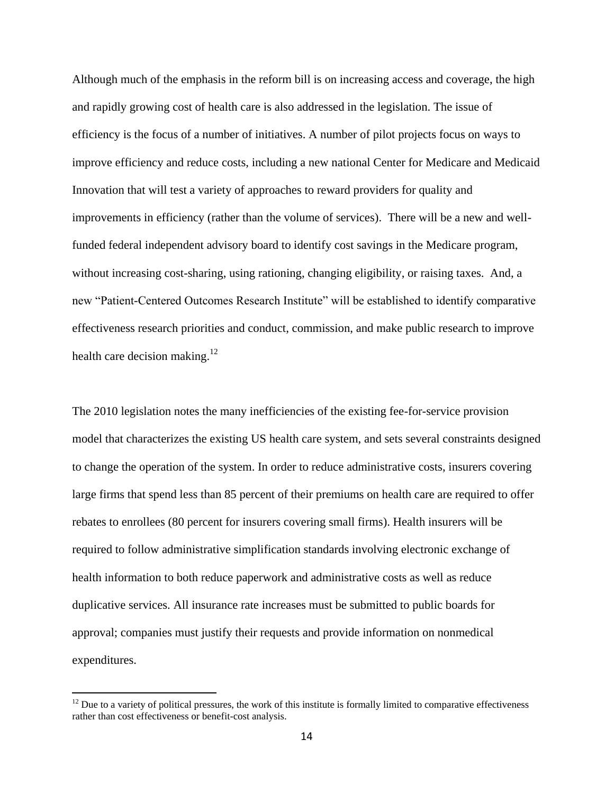Although much of the emphasis in the reform bill is on increasing access and coverage, the high and rapidly growing cost of health care is also addressed in the legislation. The issue of efficiency is the focus of a number of initiatives. A number of pilot projects focus on ways to improve efficiency and reduce costs, including a new national Center for Medicare and Medicaid Innovation that will test a variety of approaches to reward providers for quality and improvements in efficiency (rather than the volume of services). There will be a new and wellfunded federal independent advisory board to identify cost savings in the Medicare program, without increasing cost-sharing, using rationing, changing eligibility, or raising taxes. And, a new "Patient-Centered Outcomes Research Institute" will be established to identify comparative effectiveness research priorities and conduct, commission, and make public research to improve health care decision making. $12$ 

The 2010 legislation notes the many inefficiencies of the existing fee-for-service provision model that characterizes the existing US health care system, and sets several constraints designed to change the operation of the system. In order to reduce administrative costs, insurers covering large firms that spend less than 85 percent of their premiums on health care are required to offer rebates to enrollees (80 percent for insurers covering small firms). Health insurers will be required to follow administrative simplification standards involving electronic exchange of health information to both reduce paperwork and administrative costs as well as reduce duplicative services. All insurance rate increases must be submitted to public boards for approval; companies must justify their requests and provide information on nonmedical expenditures.

 $12$  Due to a variety of political pressures, the work of this institute is formally limited to comparative effectiveness rather than cost effectiveness or benefit-cost analysis.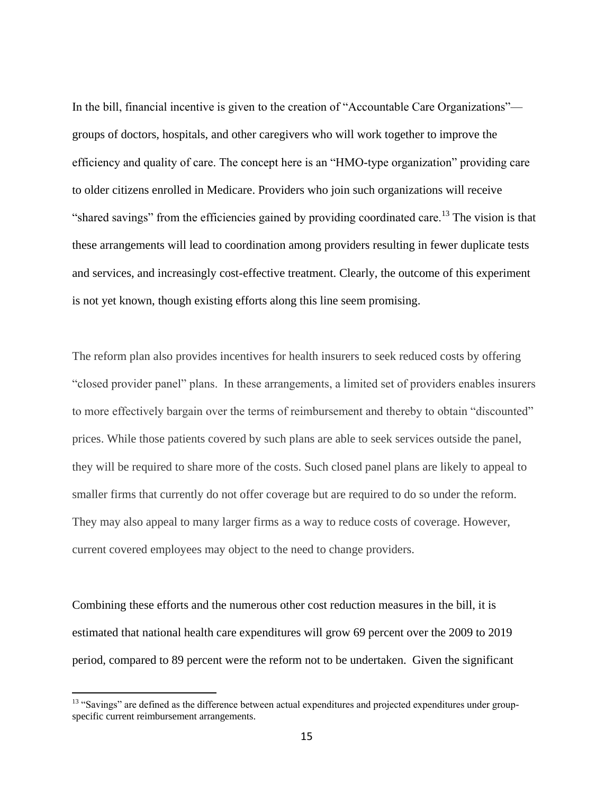In the bill, financial incentive is given to the creation of "Accountable Care Organizations" groups of doctors, hospitals, and other caregivers who will work together to improve the efficiency and quality of care. The concept here is an "HMO-type organization" providing care to older citizens enrolled in Medicare. Providers who join such organizations will receive "shared savings" from the efficiencies gained by providing coordinated care.<sup>13</sup> The vision is that these arrangements will lead to coordination among providers resulting in fewer duplicate tests and services, and increasingly cost-effective treatment. Clearly, the outcome of this experiment is not yet known, though existing efforts along this line seem promising.

The reform plan also provides incentives for health insurers to seek reduced costs by offering ―closed provider panel‖ plans. In these arrangements, a limited set of providers enables insurers to more effectively bargain over the terms of reimbursement and thereby to obtain "discounted" prices. While those patients covered by such plans are able to seek services outside the panel, they will be required to share more of the costs. Such closed panel plans are likely to appeal to smaller firms that currently do not offer coverage but are required to do so under the reform. They may also appeal to many larger firms as a way to reduce costs of coverage. However, current covered employees may object to the need to change providers.

Combining these efforts and the numerous other cost reduction measures in the bill, it is estimated that national health care expenditures will grow 69 percent over the 2009 to 2019 period, compared to 89 percent were the reform not to be undertaken. Given the significant

<sup>&</sup>lt;sup>13</sup> "Savings" are defined as the difference between actual expenditures and projected expenditures under groupspecific current reimbursement arrangements.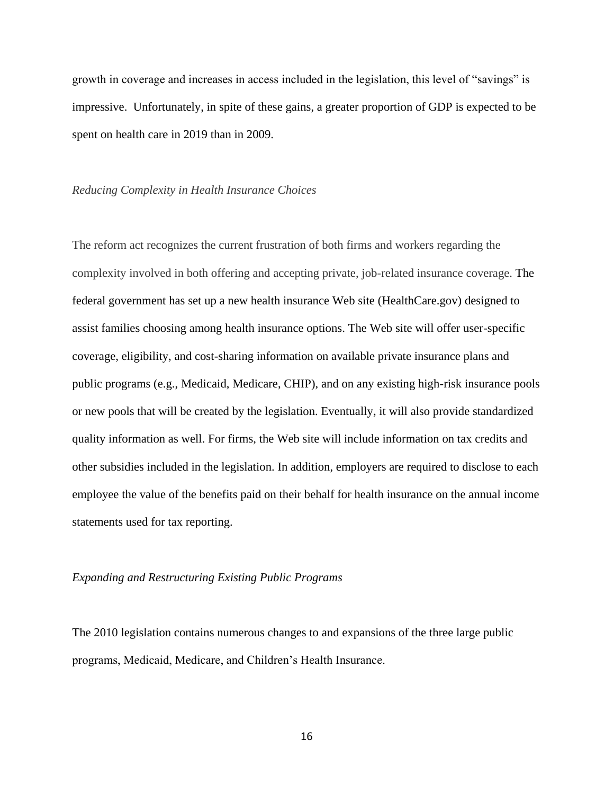growth in coverage and increases in access included in the legislation, this level of "savings" is impressive. Unfortunately, in spite of these gains, a greater proportion of GDP is expected to be spent on health care in 2019 than in 2009.

#### *Reducing Complexity in Health Insurance Choices*

The reform act recognizes the current frustration of both firms and workers regarding the complexity involved in both offering and accepting private, job-related insurance coverage. The federal government has set up a new health insurance Web site (HealthCare.gov) designed to assist families choosing among health insurance options. The Web site will offer user-specific coverage, eligibility, and cost-sharing information on available private insurance plans and public programs (e.g., Medicaid, Medicare, CHIP), and on any existing high-risk insurance pools or new pools that will be created by the legislation. Eventually, it will also provide standardized quality information as well. For firms, the Web site will include information on tax credits and other subsidies included in the legislation. In addition, employers are required to disclose to each employee the value of the benefits paid on their behalf for health insurance on the annual income statements used for tax reporting.

#### *Expanding and Restructuring Existing Public Programs*

The 2010 legislation contains numerous changes to and expansions of the three large public programs, Medicaid, Medicare, and Children's Health Insurance.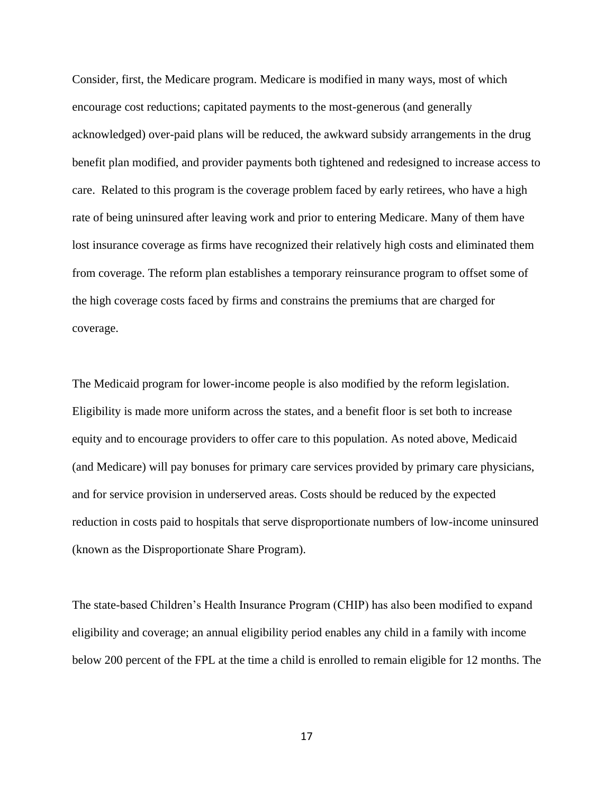Consider, first, the Medicare program. Medicare is modified in many ways, most of which encourage cost reductions; capitated payments to the most-generous (and generally acknowledged) over-paid plans will be reduced, the awkward subsidy arrangements in the drug benefit plan modified, and provider payments both tightened and redesigned to increase access to care. Related to this program is the coverage problem faced by early retirees, who have a high rate of being uninsured after leaving work and prior to entering Medicare. Many of them have lost insurance coverage as firms have recognized their relatively high costs and eliminated them from coverage. The reform plan establishes a temporary reinsurance program to offset some of the high coverage costs faced by firms and constrains the premiums that are charged for coverage.

The Medicaid program for lower-income people is also modified by the reform legislation. Eligibility is made more uniform across the states, and a benefit floor is set both to increase equity and to encourage providers to offer care to this population. As noted above, Medicaid (and Medicare) will pay bonuses for primary care services provided by primary care physicians, and for service provision in underserved areas. Costs should be reduced by the expected reduction in costs paid to hospitals that serve disproportionate numbers of low-income uninsured (known as the Disproportionate Share Program).

The state-based Children's Health Insurance Program (CHIP) has also been modified to expand eligibility and coverage; an annual eligibility period enables any child in a family with income below 200 percent of the FPL at the time a child is enrolled to remain eligible for 12 months. The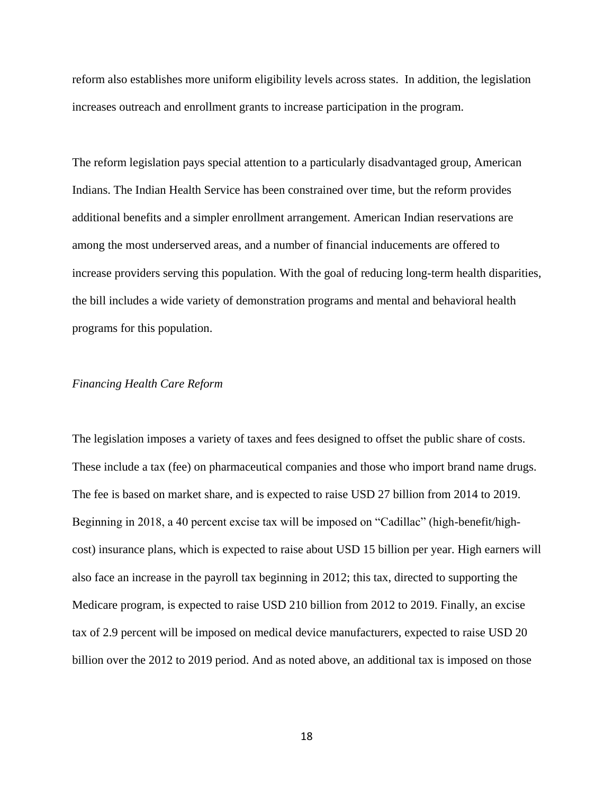reform also establishes more uniform eligibility levels across states. In addition, the legislation increases outreach and enrollment grants to increase participation in the program.

The reform legislation pays special attention to a particularly disadvantaged group, American Indians. The Indian Health Service has been constrained over time, but the reform provides additional benefits and a simpler enrollment arrangement. American Indian reservations are among the most underserved areas, and a number of financial inducements are offered to increase providers serving this population. With the goal of reducing long-term health disparities, the bill includes a wide variety of demonstration programs and mental and behavioral health programs for this population.

#### *Financing Health Care Reform*

The legislation imposes a variety of taxes and fees designed to offset the public share of costs. These include a tax (fee) on pharmaceutical companies and those who import brand name drugs. The fee is based on market share, and is expected to raise USD 27 billion from 2014 to 2019. Beginning in 2018, a 40 percent excise tax will be imposed on "Cadillac" (high-benefit/highcost) insurance plans, which is expected to raise about USD 15 billion per year. High earners will also face an increase in the payroll tax beginning in 2012; this tax, directed to supporting the Medicare program, is expected to raise USD 210 billion from 2012 to 2019. Finally, an excise tax of 2.9 percent will be imposed on medical device manufacturers, expected to raise USD 20 billion over the 2012 to 2019 period. And as noted above, an additional tax is imposed on those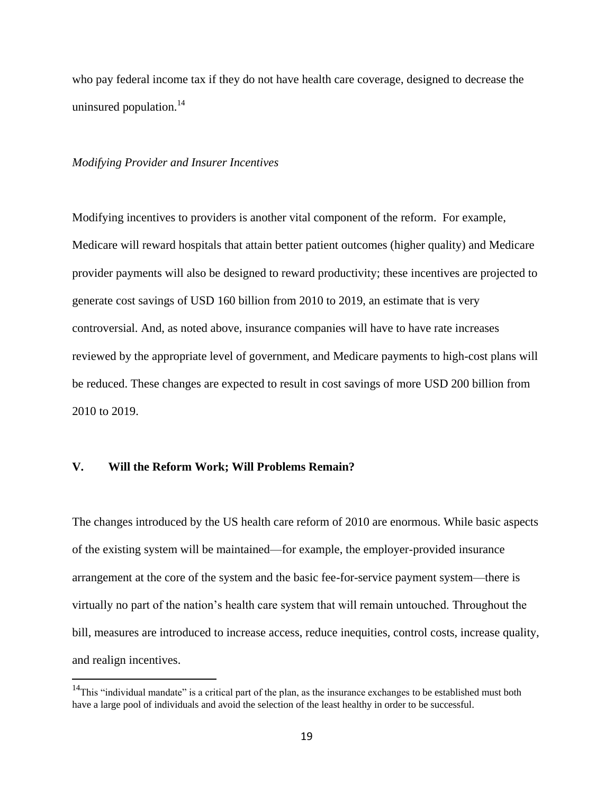who pay federal income tax if they do not have health care coverage, designed to decrease the uninsured population.<sup>14</sup>

#### *Modifying Provider and Insurer Incentives*

Modifying incentives to providers is another vital component of the reform. For example, Medicare will reward hospitals that attain better patient outcomes (higher quality) and Medicare provider payments will also be designed to reward productivity; these incentives are projected to generate cost savings of USD 160 billion from 2010 to 2019, an estimate that is very controversial. And, as noted above, insurance companies will have to have rate increases reviewed by the appropriate level of government, and Medicare payments to high-cost plans will be reduced. These changes are expected to result in cost savings of more USD 200 billion from 2010 to 2019.

#### **V. Will the Reform Work; Will Problems Remain?**

 $\overline{a}$ 

The changes introduced by the US health care reform of 2010 are enormous. While basic aspects of the existing system will be maintained—for example, the employer-provided insurance arrangement at the core of the system and the basic fee-for-service payment system—there is virtually no part of the nation's health care system that will remain untouched. Throughout the bill, measures are introduced to increase access, reduce inequities, control costs, increase quality, and realign incentives.

<sup>&</sup>lt;sup>14</sup>This "individual mandate" is a critical part of the plan, as the insurance exchanges to be established must both have a large pool of individuals and avoid the selection of the least healthy in order to be successful.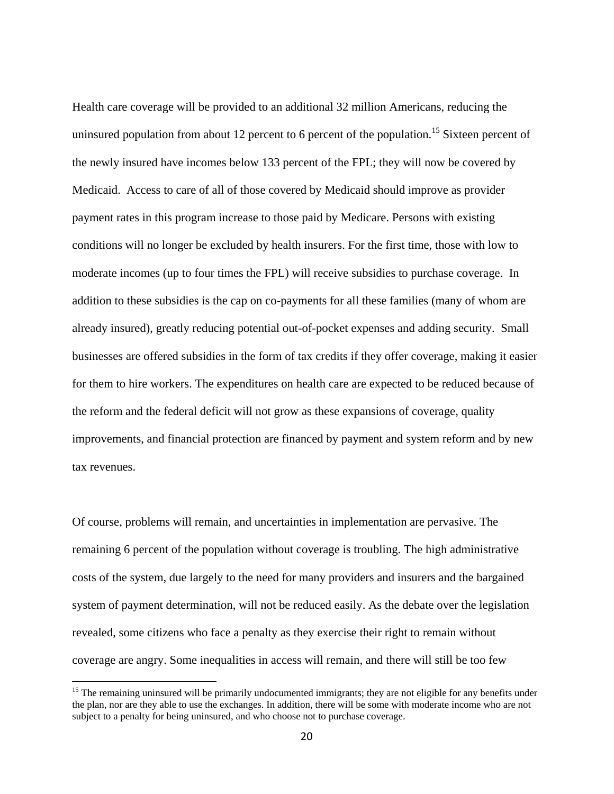Health care coverage will be provided to an additional 32 million Americans, reducing the uninsured population from about 12 percent to 6 percent of the population.<sup>15</sup> Sixteen percent of the newly insured have incomes below 133 percent of the FPL; they will now be covered by Medicaid. Access to care of all of those covered by Medicaid should improve as provider payment rates in this program increase to those paid by Medicare. Persons with existing conditions will no longer be excluded by health insurers. For the first time, those with low to moderate incomes (up to four times the FPL) will receive subsidies to purchase coverage. In addition to these subsidies is the cap on co-payments for all these families (many of whom are already insured), greatly reducing potential out-of-pocket expenses and adding security. Small businesses are offered subsidies in the form of tax credits if they offer coverage, making it easier for them to hire workers. The expenditures on health care are expected to be reduced because of the reform and the federal deficit will not grow as these expansions of coverage, quality improvements, and financial protection are financed by payment and system reform and by new tax revenues.

Of course, problems will remain, and uncertainties in implementation are pervasive. The remaining 6 percent of the population without coverage is troubling. The high administrative costs of the system, due largely to the need for many providers and insurers and the bargained system of payment determination, will not be reduced easily. As the debate over the legislation revealed, some citizens who face a penalty as they exercise their right to remain without coverage are angry. Some inequalities in access will remain, and there will still be too few

 $15$  The remaining uninsured will be primarily undocumented immigrants; they are not eligible for any benefits under the plan, nor are they able to use the exchanges. In addition, there will be some with moderate income who are not subject to a penalty for being uninsured, and who choose not to purchase coverage.